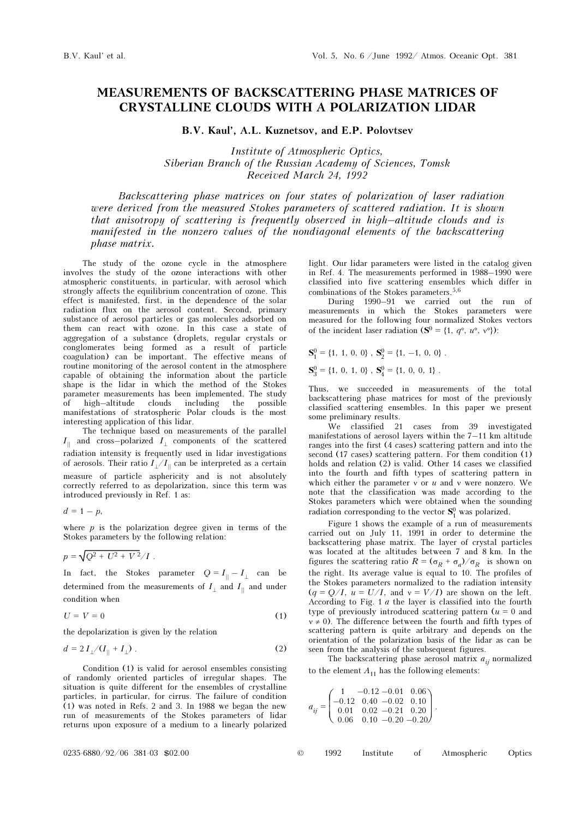## MEASUREMENTS OF BACKSCATTERING PHASE MATRICES OF CRYSTALLINE CLOUDS WITH A POLARIZATION LIDAR

B.V. Kaul', A.L. Kuznetsov, and E.P. Polovtsev

Institute of Atmospheric Optics, Siberian Branch of the Russian Academy of Sciences, Tomsk Received March 24, 1992

Backscattering phase matrices on four states of polarization of laser radiation were derived from the measured Stokes parameters of scattered radiation. It is shown that anisotropy of scattering is frequently observed in high–altitude clouds and is manifested in the nonzero values of the nondiagonal elements of the backscattering phase matrix.

The study of the ozone cycle in the atmosphere involves the study of the ozone interactions with other atmospheric constituents, in particular, with aerosol which strongly affects the equilibrium concentration of ozone. This effect is manifested, first, in the dependence of the solar radiation flux on the aerosol content. Second, primary substance of aerosol particles or gas molecules adsorbed on them can react with ozone. In this case a state of aggregation of a substance (droplets, regular crystals or conglomerates being formed as a result of particle coagulation) can be important. The effective means of routine monitoring of the aerosol content in the atmosphere capable of obtaining the information about the particle shape is the lidar in which the method of the Stokes parameter measurements has been implemented. The study of high–altitude clouds including the possible manifestations of stratospheric Polar clouds is the most interesting application of this lidar.

The technique based on measurements of the parallel  $I_{\parallel}$  and cross–polarized  $I_{\perp}$  components of the scattered radiation intensity is frequently used in lidar investigations of aerosols. Their ratio  $I_{\perp}/I_{\parallel}$  can be interpreted as a certain measure of particle asphericity and is not absolutely correctly referred to as depolarization, since this term was introduced previously in Ref. 1 as:

 $d = 1 - p$ ,

where  $p$  is the polarization degree given in terms of the Stokes parameters by the following relation:

$$
p = \sqrt{Q^2 + U^2 + V^2} / I \; .
$$

In fact, the Stokes parameter  $Q = I_{\parallel} - I_{\perp}$  can be determined from the measurements of  $I_{\perp}$  and  $I_{\parallel}$  and under condition when

$$
U = V = 0 \tag{1}
$$

the depolarization is given by the relation

$$
d = 2 I_{\perp} / (I_{\parallel} + I_{\perp}) \tag{2}
$$

Condition (1) is valid for aerosol ensembles consisting of randomly oriented particles of irregular shapes. The situation is quite different for the ensembles of crystalline particles, in particular, for cirrus. The failure of condition (1) was noted in Refs. 2 and 3. In 1988 we began the new run of measurements of the Stokes parameters of lidar returns upon exposure of a medium to a linearly polarized

light. Our lidar parameters were listed in the catalog given in Ref. 4. The measurements performed in 1988–1990 were classified into five scattering ensembles which differ in combinations of the Stokes parameters.<sup>5,6</sup>

During 1990–91 we carried out the run of measurements in which the Stokes parameters were measured for the following four normalized Stokes vectors of the incident laser radiation ( $S^0 = \{1, a^{\circ}, u^{\circ}, v^{\circ}\}\$ :

$$
\mathbf{S}_1^0 = \{1, 1, 0, 0\} , \mathbf{S}_2^0 = \{1, -1, 0, 0\} .
$$

 $S_3^0 = \{1, 0, 1, 0\}$ ,  $S_4^0 = \{1, 0, 0, 1\}$ .

Thus, we succeeded in measurements of the total backscattering phase matrices for most of the previously classified scattering ensembles. In this paper we present some preliminary results.

We classified 21 cases from 39 investigated manifestations of aerosol layers within the 7–11 km altitude ranges into the first (4 cases) scattering pattern and into the second (17 cases) scattering pattern. For them condition (1) holds and relation (2) is valid. Other 14 cases we classified into the fourth and fifth types of scattering pattern in which either the parameter  $v$  or  $u$  and  $v$  were nonzero. We note that the classification was made according to the Stokes parameters which were obtained when the sounding radiation corresponding to the vector  $S_1^0$  was polarized.

Figure 1 shows the example of a run of measurements carried out on July 11, 1991 in order to determine the backscattering phase matrix. The layer of crystal particles was located at the altitudes between 7 and 8 km. In the figures the scattering ratio  $R = (\sigma_R + \sigma_a)/\sigma_R$  is shown on the right. Its average value is equal to 10. The profiles of the Stokes parameters normalized to the radiation intensity  $(q = Q/I, u = U/I, and v = V/I)$  are shown on the left. According to Fig. 1 a the layer is classified into the fourth type of previously introduced scattering pattern  $(u = 0$  and  $v \neq 0$ ). The difference between the fourth and fifth types of scattering pattern is quite arbitrary and depends on the orientation of the polarization basis of the lidar as can be seen from the analysis of the subsequent figures.

The backscattering phase aerosol matrix  $a_{ij}$  normalized to the element  $A_{11}$  has the following elements:

$$
a_{ij}=\left(\begin{matrix} 1 & -0.12 & -0.01 & 0.06 \\ -0.12 & 0.40 & -0.02 & 0.10 \\ 0.01 & 0.02 & -0.21 & 0.20 \\ 0.06 & 0.10 & -0.20 & -0.20 \end{matrix}\right).
$$

| $0235 - 6880 / 92 / 06$ 381-03 \$02.00 |  | 1992 |  |  | Institute of Atmospheric Optics |  |
|----------------------------------------|--|------|--|--|---------------------------------|--|
|----------------------------------------|--|------|--|--|---------------------------------|--|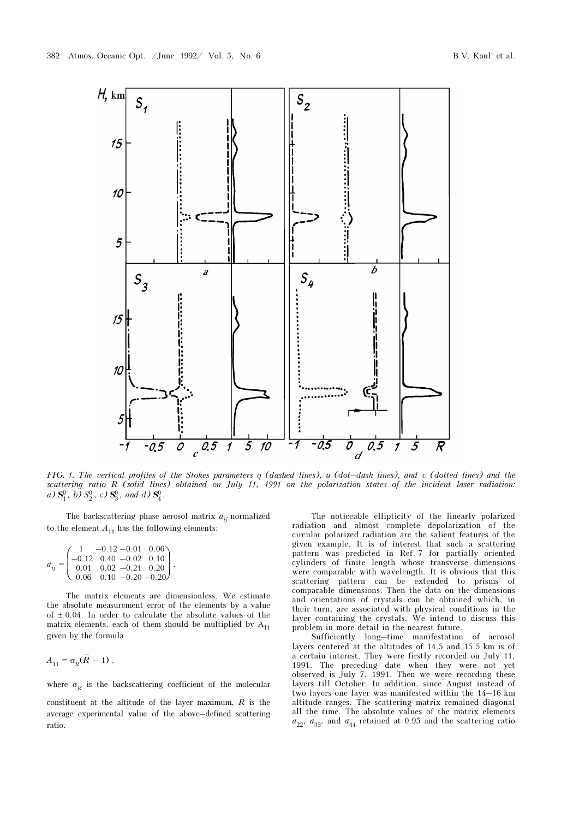

FIG. 1. The vertical profiles of the Stokes parameters q (dashed lines), u (dot–dash lines), and v (dotted lines) and the scattering ratio R (solid lines) obtained on July 11, 1991 on the polarization states of the incident laser radiation: a)  $S_1^0$ , b)  $S_2^0$ , c)  $S_3^0$ , and d)  $S_4^0$ .

The backscattering phase aerosol matrix  $a_{ij}$  normalized to the element  $A_{11}$  has the following elements:

$$
a_{ij} = \begin{pmatrix} 1 & -0.12 & -0.01 & 0.06 \\ -0.12 & 0.40 & -0.02 & 0.10 \\ 0.01 & 0.02 & -0.21 & 0.20 \\ 0.06 & 0.10 & -0.20 & -0.20 \end{pmatrix}.
$$

The matrix elements are dimensionless. We estimate the absolute measurement error of the elements by a value of  $\pm$  0.04. In order to calculate the absolute values of the matrix elements, each of them should be multiplied by  $A_{11}$ given by the formula

$$
A_{11} = \sigma_R(\overline{R} - 1) ,
$$

where  $\sigma_R$  is the backscattering coefficient of the molecular

constituent at the altitude of the layer maximum,  $\overline{R}$  is the average experimental value of the above–defined scattering ratio.

The noticeable ellipticity of the linearly polarized radiation and almost complete depolarization of the circular polarized radiation are the salient features of the given example. It is of interest that such a scattering pattern was predicted in Ref. 7 for partially oriented cylinders of finite length whose transverse dimensions were comparable with wavelength. It is obvious that this scattering pattern can be extended to prisms of comparable dimensions. Then the data on the dimensions and orientations of crystals can be obtained which, in their turn, are associated with physical conditions in the layer containing the crystals. We intend to discuss this problem in more detail in the nearest future.

Sufficiently long–time manifestation of aerosol layers centered at the altitudes of 14.5 and 15.5 km is of a certain interest. They were firstly recorded on July 11, 1991. The preceding date when they were not yet observed is July 7, 1991. Then we were recording these layers till October. In addition, since August instead of two layers one layer was manifested within the 14–16 km altitude ranges. The scattering matrix remained diagonal all the time. The absolute values of the matrix elements  $a_{22}$ ,  $a_{33}$ , and  $a_{44}$  retained at 0.95 and the scattering ratio